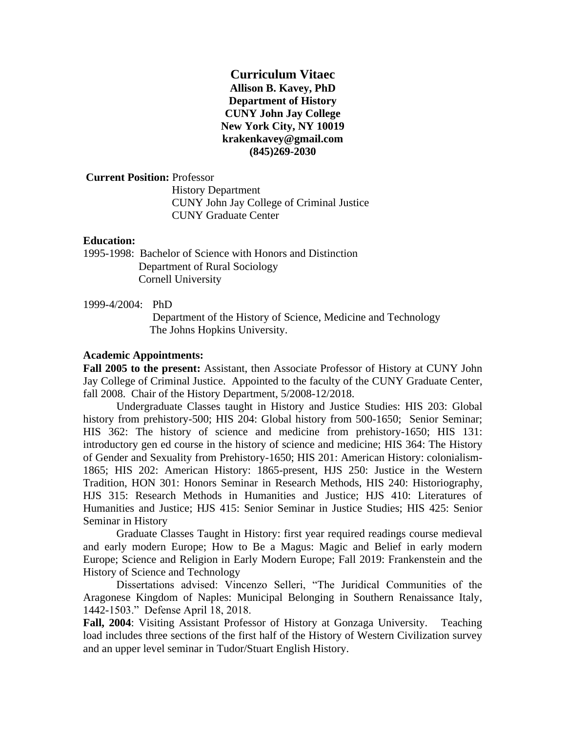**Curriculum Vitaec Allison B. Kavey, PhD Department of History CUNY John Jay College New York City, NY 10019 krakenkavey@gmail.com (845)269-2030**

## **Current Position:** Professor

 History Department CUNY John Jay College of Criminal Justice CUNY Graduate Center

## **Education:**

1995-1998: Bachelor of Science with Honors and Distinction Department of Rural Sociology Cornell University

## 1999-4/2004: PhD

Department of the History of Science, Medicine and Technology The Johns Hopkins University.

## **Academic Appointments:**

**Fall 2005 to the present:** Assistant, then Associate Professor of History at CUNY John Jay College of Criminal Justice. Appointed to the faculty of the CUNY Graduate Center, fall 2008. Chair of the History Department, 5/2008-12/2018.

Undergraduate Classes taught in History and Justice Studies: HIS 203: Global history from prehistory-500; HIS 204: Global history from 500-1650; Senior Seminar; HIS 362: The history of science and medicine from prehistory-1650; HIS 131: introductory gen ed course in the history of science and medicine; HIS 364: The History of Gender and Sexuality from Prehistory-1650; HIS 201: American History: colonialism-1865; HIS 202: American History: 1865-present, HJS 250: Justice in the Western Tradition, HON 301: Honors Seminar in Research Methods, HIS 240: Historiography, HJS 315: Research Methods in Humanities and Justice; HJS 410: Literatures of Humanities and Justice; HJS 415: Senior Seminar in Justice Studies; HIS 425: Senior Seminar in History

Graduate Classes Taught in History: first year required readings course medieval and early modern Europe; How to Be a Magus: Magic and Belief in early modern Europe; Science and Religion in Early Modern Europe; Fall 2019: Frankenstein and the History of Science and Technology

Dissertations advised: Vincenzo Selleri, "The Juridical Communities of the Aragonese Kingdom of Naples: Municipal Belonging in Southern Renaissance Italy, 1442-1503." Defense April 18, 2018.

**Fall, 2004**: Visiting Assistant Professor of History at Gonzaga University. Teaching load includes three sections of the first half of the History of Western Civilization survey and an upper level seminar in Tudor/Stuart English History.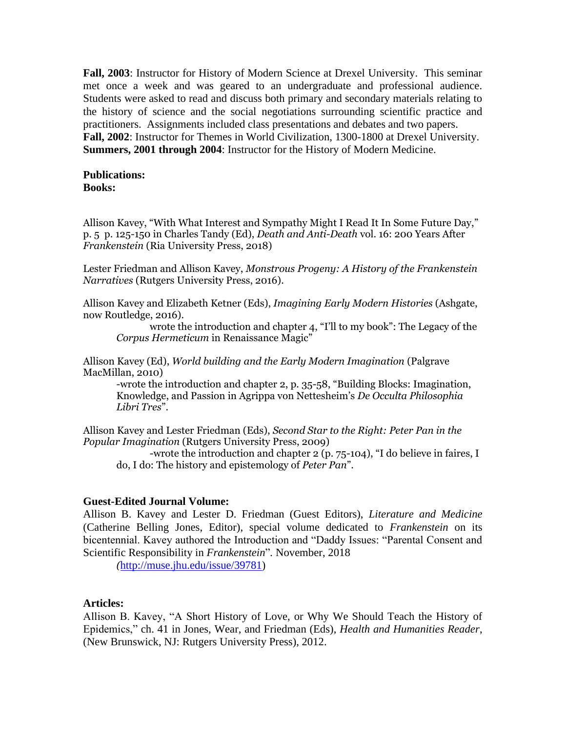**Fall, 2003**: Instructor for History of Modern Science at Drexel University. This seminar met once a week and was geared to an undergraduate and professional audience. Students were asked to read and discuss both primary and secondary materials relating to the history of science and the social negotiations surrounding scientific practice and practitioners. Assignments included class presentations and debates and two papers. **Fall, 2002**: Instructor for Themes in World Civilization, 1300-1800 at Drexel University. **Summers, 2001 through 2004**: Instructor for the History of Modern Medicine.

#### **Publications: Books:**

Allison Kavey, "With What Interest and Sympathy Might I Read It In Some Future Day," p. 5 p. 125-150 in Charles Tandy (Ed), *Death and Anti-Death* vol. 16: 200 Years After *Frankenstein* (Ria University Press, 2018)

Lester Friedman and Allison Kavey, *Monstrous Progeny: A History of the Frankenstein Narratives* (Rutgers University Press, 2016).

Allison Kavey and Elizabeth Ketner (Eds), *Imagining Early Modern Histories* (Ashgate, now Routledge, 2016).

wrote the introduction and chapter 4, "I'll to my book": The Legacy of the *Corpus Hermeticum* in Renaissance Magic"

Allison Kavey (Ed), *World building and the Early Modern Imagination* (Palgrave MacMillan, 2010)

-wrote the introduction and chapter 2, p. 35-58, "Building Blocks: Imagination, Knowledge, and Passion in Agrippa von Nettesheim's *De Occulta Philosophia Libri Tres*".

Allison Kavey and Lester Friedman (Eds), *Second Star to the Right: Peter Pan in the Popular Imagination* (Rutgers University Press, 2009)

-wrote the introduction and chapter 2 (p. 75-104), "I do believe in faires, I do, I do: The history and epistemology of *Peter Pan*".

### **Guest-Edited Journal Volume:**

Allison B. Kavey and Lester D. Friedman (Guest Editors), *Literature and Medicine* (Catherine Belling Jones, Editor), special volume dedicated to *Frankenstein* on its bicentennial. Kavey authored the Introduction and "Daddy Issues: "Parental Consent and Scientific Responsibility in *Frankenstein*"*.* November, 2018

*(*[http://muse.jhu.edu/issue/39781\)](https://mail.jjay.cuny.edu/owa/redir.aspx?C=wJ3rt_VTbwXRflY21WWi46F-us1ahvhp3oD3n0qdJNLUgVQU0bnWCA..&URL=http%3a%2f%2fmuse.jhu.edu%2fissue%2f39781)

### **Articles:**

Allison B. Kavey, "A Short History of Love, or Why We Should Teach the History of Epidemics," ch. 41 in Jones, Wear, and Friedman (Eds), *Health and Humanities Reader*, (New Brunswick, NJ: Rutgers University Press), 2012.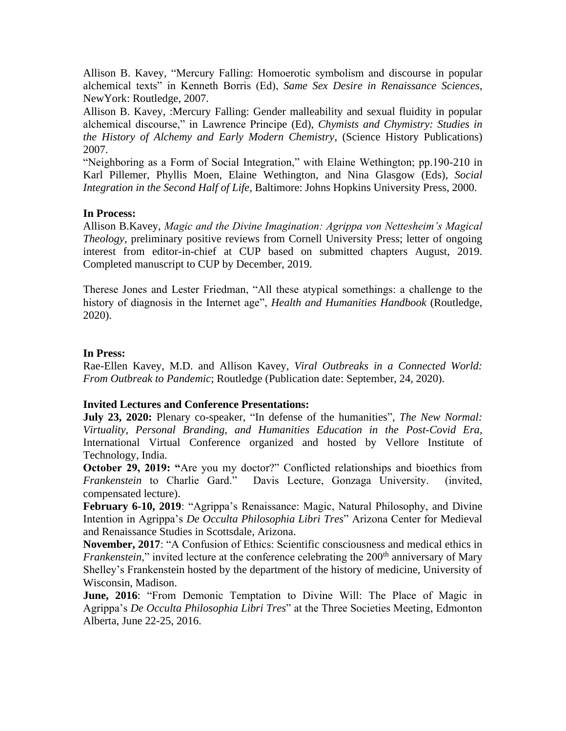Allison B. Kavey, "Mercury Falling: Homoerotic symbolism and discourse in popular alchemical texts" in Kenneth Borris (Ed), *Same Sex Desire in Renaissance Sciences*, NewYork: Routledge, 2007.

Allison B. Kavey, :Mercury Falling: Gender malleability and sexual fluidity in popular alchemical discourse," in Lawrence Principe (Ed), *Chymists and Chymistry: Studies in the History of Alchemy and Early Modern Chemistry*, (Science History Publications) 2007.

"Neighboring as a Form of Social Integration," with Elaine Wethington; pp.190-210 in Karl Pillemer, Phyllis Moen, Elaine Wethington, and Nina Glasgow (Eds), *Social Integration in the Second Half of Life*, Baltimore: Johns Hopkins University Press, 2000.

## **In Process:**

Allison B.Kavey, *Magic and the Divine Imagination: Agrippa von Nettesheim's Magical Theology*, preliminary positive reviews from Cornell University Press; letter of ongoing interest from editor-in-chief at CUP based on submitted chapters August, 2019. Completed manuscript to CUP by December, 2019.

Therese Jones and Lester Friedman, "All these atypical somethings: a challenge to the history of diagnosis in the Internet age", *Health and Humanities Handbook* (Routledge, 2020).

## **In Press:**

Rae-Ellen Kavey, M.D. and Allison Kavey, *Viral Outbreaks in a Connected World: From Outbreak to Pandemic*; Routledge (Publication date: September, 24, 2020).

## **Invited Lectures and Conference Presentations:**

**July 23, 2020:** Plenary co-speaker, "In defense of the humanities", *The New Normal: Virtuality, Personal Branding, and Humanities Education in the Post-Covid Era,* International Virtual Conference organized and hosted by Vellore Institute of Technology, India.

**October 29, 2019:** "Are you my doctor?" Conflicted relationships and bioethics from *Frankenstein* to Charlie Gard." Davis Lecture, Gonzaga University. (invited, compensated lecture).

**February 6-10, 2019**: "Agrippa's Renaissance: Magic, Natural Philosophy, and Divine Intention in Agrippa's *De Occulta Philosophia Libri Tres*" Arizona Center for Medieval and Renaissance Studies in Scottsdale, Arizona.

**November, 2017**: "A Confusion of Ethics: Scientific consciousness and medical ethics in *Frankenstein*," invited lecture at the conference celebrating the 200<sup>th</sup> anniversary of Mary Shelley's Frankenstein hosted by the department of the history of medicine, University of Wisconsin, Madison.

**June, 2016**: "From Demonic Temptation to Divine Will: The Place of Magic in Agrippa's *De Occulta Philosophia Libri Tres*" at the Three Societies Meeting, Edmonton Alberta, June 22-25, 2016.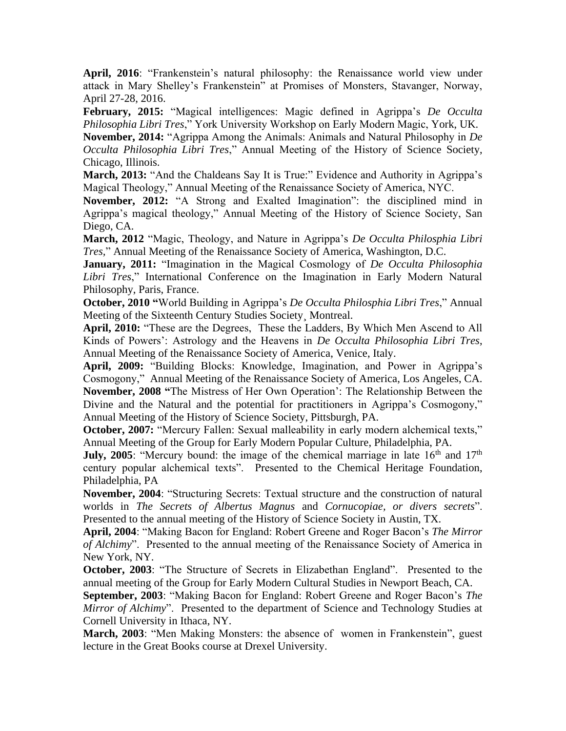**April, 2016**: "Frankenstein's natural philosophy: the Renaissance world view under attack in Mary Shelley's Frankenstein" at Promises of Monsters, Stavanger, Norway, April 27-28, 2016.

**February, 2015:** "Magical intelligences: Magic defined in Agrippa's *De Occulta Philosophia Libri Tres*," York University Workshop on Early Modern Magic, York, UK. **November, 2014:** "Agrippa Among the Animals: Animals and Natural Philosophy in *De Occulta Philosophia Libri Tres*," Annual Meeting of the History of Science Society, Chicago, Illinois.

March, 2013: "And the Chaldeans Say It is True:" Evidence and Authority in Agrippa's Magical Theology," Annual Meeting of the Renaissance Society of America, NYC.

**November, 2012:** "A Strong and Exalted Imagination": the disciplined mind in Agrippa's magical theology," Annual Meeting of the History of Science Society, San Diego, CA.

**March, 2012** "Magic, Theology, and Nature in Agrippa's *De Occulta Philosphia Libri Tres,*" Annual Meeting of the Renaissance Society of America, Washington, D.C.

**January, 2011:** "Imagination in the Magical Cosmology of *De Occulta Philosophia Libri Tres*," International Conference on the Imagination in Early Modern Natural Philosophy, Paris, France.

**October, 2010 "**World Building in Agrippa's *De Occulta Philosphia Libri Tres*," Annual Meeting of the Sixteenth Century Studies Society¸ Montreal.

**April, 2010:** "These are the Degrees, These the Ladders, By Which Men Ascend to All Kinds of Powers': Astrology and the Heavens in *De Occulta Philosophia Libri Tres*, Annual Meeting of the Renaissance Society of America, Venice, Italy.

**April, 2009:** "Building Blocks: Knowledge, Imagination, and Power in Agrippa's Cosmogony," Annual Meeting of the Renaissance Society of America, Los Angeles, CA. **November, 2008 "**The Mistress of Her Own Operation': The Relationship Between the Divine and the Natural and the potential for practitioners in Agrippa's Cosmogony," Annual Meeting of the History of Science Society, Pittsburgh, PA.

**October, 2007:** "Mercury Fallen: Sexual malleability in early modern alchemical texts," Annual Meeting of the Group for Early Modern Popular Culture, Philadelphia, PA.

**July, 2005**: "Mercury bound: the image of the chemical marriage in late  $16<sup>th</sup>$  and  $17<sup>th</sup>$ century popular alchemical texts". Presented to the Chemical Heritage Foundation, Philadelphia, PA

**November, 2004**: "Structuring Secrets: Textual structure and the construction of natural worlds in *The Secrets of Albertus Magnus* and *Cornucopiae, or divers secrets*". Presented to the annual meeting of the History of Science Society in Austin, TX.

**April, 2004**: "Making Bacon for England: Robert Greene and Roger Bacon's *The Mirror of Alchimy*". Presented to the annual meeting of the Renaissance Society of America in New York, NY.

**October, 2003**: "The Structure of Secrets in Elizabethan England". Presented to the annual meeting of the Group for Early Modern Cultural Studies in Newport Beach, CA.

**September, 2003**: "Making Bacon for England: Robert Greene and Roger Bacon's *The Mirror of Alchimy*". Presented to the department of Science and Technology Studies at Cornell University in Ithaca, NY.

**March, 2003**: "Men Making Monsters: the absence of women in Frankenstein", guest lecture in the Great Books course at Drexel University.